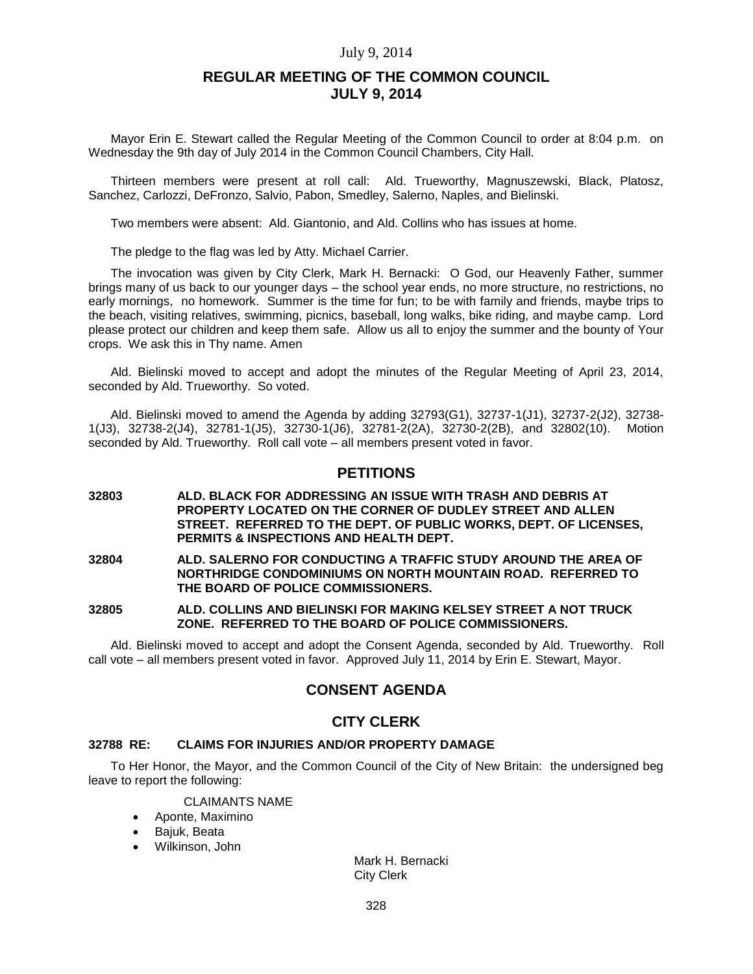# **REGULAR MEETING OF THE COMMON COUNCIL JULY 9, 2014**

Mayor Erin E. Stewart called the Regular Meeting of the Common Council to order at 8:04 p.m. on Wednesday the 9th day of July 2014 in the Common Council Chambers, City Hall.

Thirteen members were present at roll call: Ald. Trueworthy, Magnuszewski, Black, Platosz, Sanchez, Carlozzi, DeFronzo, Salvio, Pabon, Smedley, Salerno, Naples, and Bielinski.

Two members were absent: Ald. Giantonio, and Ald. Collins who has issues at home.

The pledge to the flag was led by Atty. Michael Carrier.

The invocation was given by City Clerk, Mark H. Bernacki: O God, our Heavenly Father, summer brings many of us back to our younger days – the school year ends, no more structure, no restrictions, no early mornings, no homework. Summer is the time for fun; to be with family and friends, maybe trips to the beach, visiting relatives, swimming, picnics, baseball, long walks, bike riding, and maybe camp. Lord please protect our children and keep them safe. Allow us all to enjoy the summer and the bounty of Your crops. We ask this in Thy name. Amen

Ald. Bielinski moved to accept and adopt the minutes of the Regular Meeting of April 23, 2014, seconded by Ald. Trueworthy. So voted.

Ald. Bielinski moved to amend the Agenda by adding 32793(G1), 32737-1(J1), 32737-2(J2), 32738- 1(J3), 32738-2(J4), 32781-1(J5), 32730-1(J6), 32781-2(2A), 32730-2(2B), and 32802(10). Motion seconded by Ald. Trueworthy. Roll call vote – all members present voted in favor.

# **PETITIONS**

**32803 ALD. BLACK FOR ADDRESSING AN ISSUE WITH TRASH AND DEBRIS AT PROPERTY LOCATED ON THE CORNER OF DUDLEY STREET AND ALLEN STREET. REFERRED TO THE DEPT. OF PUBLIC WORKS, DEPT. OF LICENSES, PERMITS & INSPECTIONS AND HEALTH DEPT.**

**32804 ALD. SALERNO FOR CONDUCTING A TRAFFIC STUDY AROUND THE AREA OF NORTHRIDGE CONDOMINIUMS ON NORTH MOUNTAIN ROAD. REFERRED TO THE BOARD OF POLICE COMMISSIONERS.**

**32805 ALD. COLLINS AND BIELINSKI FOR MAKING KELSEY STREET A NOT TRUCK ZONE. REFERRED TO THE BOARD OF POLICE COMMISSIONERS.**

Ald. Bielinski moved to accept and adopt the Consent Agenda, seconded by Ald. Trueworthy. Roll call vote – all members present voted in favor. Approved July 11, 2014 by Erin E. Stewart, Mayor.

# **CONSENT AGENDA**

### **CITY CLERK**

### **32788 RE: CLAIMS FOR INJURIES AND/OR PROPERTY DAMAGE**

To Her Honor, the Mayor, and the Common Council of the City of New Britain: the undersigned beg leave to report the following:

### CLAIMANTS NAME

- Aponte, Maximino
- Bajuk, Beata
- Wilkinson, John

Mark H. Bernacki City Clerk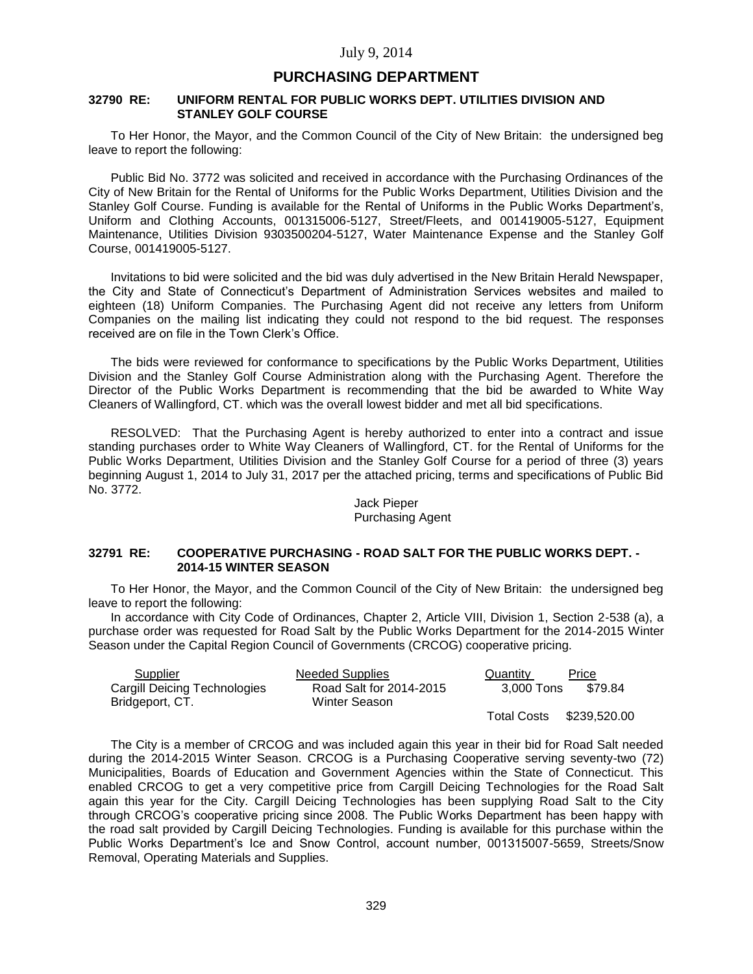# **PURCHASING DEPARTMENT**

#### **32790 RE: UNIFORM RENTAL FOR PUBLIC WORKS DEPT. UTILITIES DIVISION AND STANLEY GOLF COURSE**

To Her Honor, the Mayor, and the Common Council of the City of New Britain: the undersigned beg leave to report the following:

Public Bid No. 3772 was solicited and received in accordance with the Purchasing Ordinances of the City of New Britain for the Rental of Uniforms for the Public Works Department, Utilities Division and the Stanley Golf Course. Funding is available for the Rental of Uniforms in the Public Works Department's, Uniform and Clothing Accounts, 001315006-5127, Street/Fleets, and 001419005-5127, Equipment Maintenance, Utilities Division 9303500204-5127, Water Maintenance Expense and the Stanley Golf Course, 001419005-5127.

Invitations to bid were solicited and the bid was duly advertised in the New Britain Herald Newspaper, the City and State of Connecticut's Department of Administration Services websites and mailed to eighteen (18) Uniform Companies. The Purchasing Agent did not receive any letters from Uniform Companies on the mailing list indicating they could not respond to the bid request. The responses received are on file in the Town Clerk's Office.

The bids were reviewed for conformance to specifications by the Public Works Department, Utilities Division and the Stanley Golf Course Administration along with the Purchasing Agent. Therefore the Director of the Public Works Department is recommending that the bid be awarded to White Way Cleaners of Wallingford, CT. which was the overall lowest bidder and met all bid specifications.

RESOLVED: That the Purchasing Agent is hereby authorized to enter into a contract and issue standing purchases order to White Way Cleaners of Wallingford, CT. for the Rental of Uniforms for the Public Works Department, Utilities Division and the Stanley Golf Course for a period of three (3) years beginning August 1, 2014 to July 31, 2017 per the attached pricing, terms and specifications of Public Bid No. 3772.

### Jack Pieper Purchasing Agent

#### **32791 RE: COOPERATIVE PURCHASING - ROAD SALT FOR THE PUBLIC WORKS DEPT. - 2014-15 WINTER SEASON**

To Her Honor, the Mayor, and the Common Council of the City of New Britain: the undersigned beg leave to report the following:

In accordance with City Code of Ordinances, Chapter 2, Article VIII, Division 1, Section 2-538 (a), a purchase order was requested for Road Salt by the Public Works Department for the 2014-2015 Winter Season under the Capital Region Council of Governments (CRCOG) cooperative pricing.

| Supplier                     | <b>Needed Supplies</b>  | Quantity           | Price        |
|------------------------------|-------------------------|--------------------|--------------|
| Cargill Deicing Technologies | Road Salt for 2014-2015 | 3.000 Tons         | \$79.84      |
| Bridgeport, CT.              | Winter Season           |                    |              |
|                              |                         | <b>Total Costs</b> | \$239,520.00 |

The City is a member of CRCOG and was included again this year in their bid for Road Salt needed during the 2014-2015 Winter Season. CRCOG is a Purchasing Cooperative serving seventy-two (72) Municipalities, Boards of Education and Government Agencies within the State of Connecticut. This enabled CRCOG to get a very competitive price from Cargill Deicing Technologies for the Road Salt again this year for the City. Cargill Deicing Technologies has been supplying Road Salt to the City through CRCOG's cooperative pricing since 2008. The Public Works Department has been happy with the road salt provided by Cargill Deicing Technologies. Funding is available for this purchase within the Public Works Department's Ice and Snow Control, account number, 001315007-5659, Streets/Snow Removal, Operating Materials and Supplies.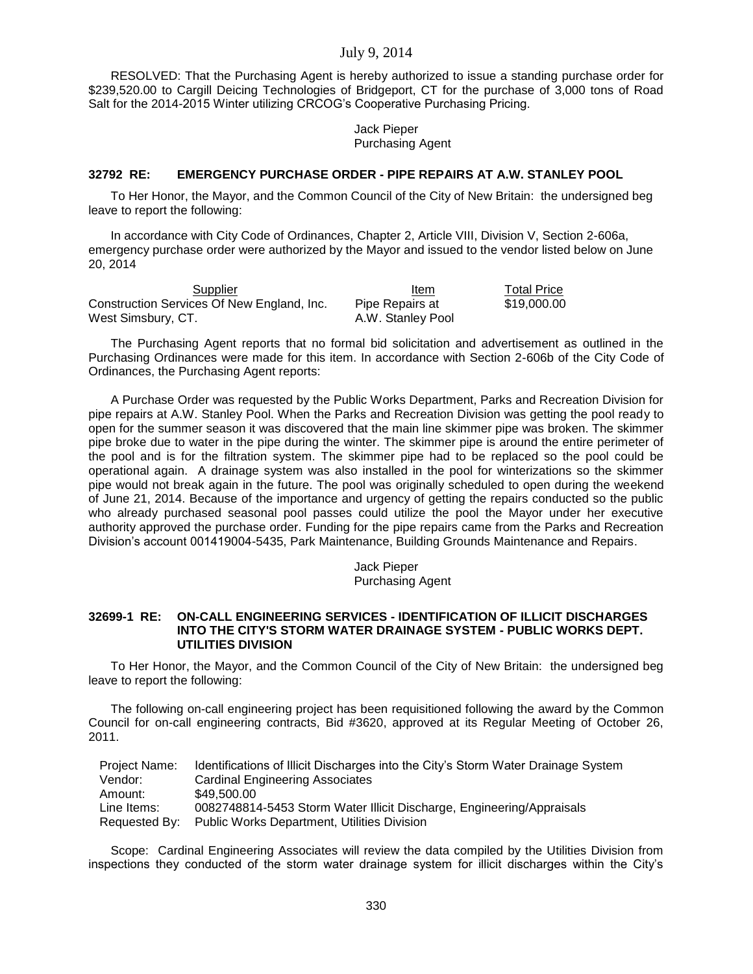RESOLVED: That the Purchasing Agent is hereby authorized to issue a standing purchase order for \$239,520.00 to Cargill Deicing Technologies of Bridgeport, CT for the purchase of 3,000 tons of Road Salt for the 2014-2015 Winter utilizing CRCOG's Cooperative Purchasing Pricing.

> Jack Pieper Purchasing Agent

### **32792 RE: EMERGENCY PURCHASE ORDER - PIPE REPAIRS AT A.W. STANLEY POOL**

To Her Honor, the Mayor, and the Common Council of the City of New Britain: the undersigned beg leave to report the following:

In accordance with City Code of Ordinances, Chapter 2, Article VIII, Division V, Section 2-606a, emergency purchase order were authorized by the Mayor and issued to the vendor listed below on June 20, 2014

| Supplier                                   | Item              | <b>Total Price</b> |
|--------------------------------------------|-------------------|--------------------|
| Construction Services Of New England, Inc. | Pipe Repairs at   | \$19.000.00        |
| West Simsbury, CT.                         | A.W. Stanley Pool |                    |

The Purchasing Agent reports that no formal bid solicitation and advertisement as outlined in the Purchasing Ordinances were made for this item. In accordance with Section 2-606b of the City Code of Ordinances, the Purchasing Agent reports:

A Purchase Order was requested by the Public Works Department, Parks and Recreation Division for pipe repairs at A.W. Stanley Pool. When the Parks and Recreation Division was getting the pool ready to open for the summer season it was discovered that the main line skimmer pipe was broken. The skimmer pipe broke due to water in the pipe during the winter. The skimmer pipe is around the entire perimeter of the pool and is for the filtration system. The skimmer pipe had to be replaced so the pool could be operational again. A drainage system was also installed in the pool for winterizations so the skimmer pipe would not break again in the future. The pool was originally scheduled to open during the weekend of June 21, 2014. Because of the importance and urgency of getting the repairs conducted so the public who already purchased seasonal pool passes could utilize the pool the Mayor under her executive authority approved the purchase order. Funding for the pipe repairs came from the Parks and Recreation Division's account 001419004-5435, Park Maintenance, Building Grounds Maintenance and Repairs.

Jack Pieper

Purchasing Agent

### **32699-1 RE: ON-CALL ENGINEERING SERVICES - IDENTIFICATION OF ILLICIT DISCHARGES INTO THE CITY'S STORM WATER DRAINAGE SYSTEM - PUBLIC WORKS DEPT. UTILITIES DIVISION**

To Her Honor, the Mayor, and the Common Council of the City of New Britain: the undersigned beg leave to report the following:

The following on-call engineering project has been requisitioned following the award by the Common Council for on-call engineering contracts, Bid #3620, approved at its Regular Meeting of October 26, 2011.

| Project Name: | Identifications of Illicit Discharges into the City's Storm Water Drainage System |
|---------------|-----------------------------------------------------------------------------------|
| Vendor:       | <b>Cardinal Engineering Associates</b>                                            |
| Amount:       | \$49.500.00                                                                       |
| Line Items:   | 0082748814-5453 Storm Water Illicit Discharge, Engineering/Appraisals             |
| Requested By: | <b>Public Works Department, Utilities Division</b>                                |

Scope: Cardinal Engineering Associates will review the data compiled by the Utilities Division from inspections they conducted of the storm water drainage system for illicit discharges within the City's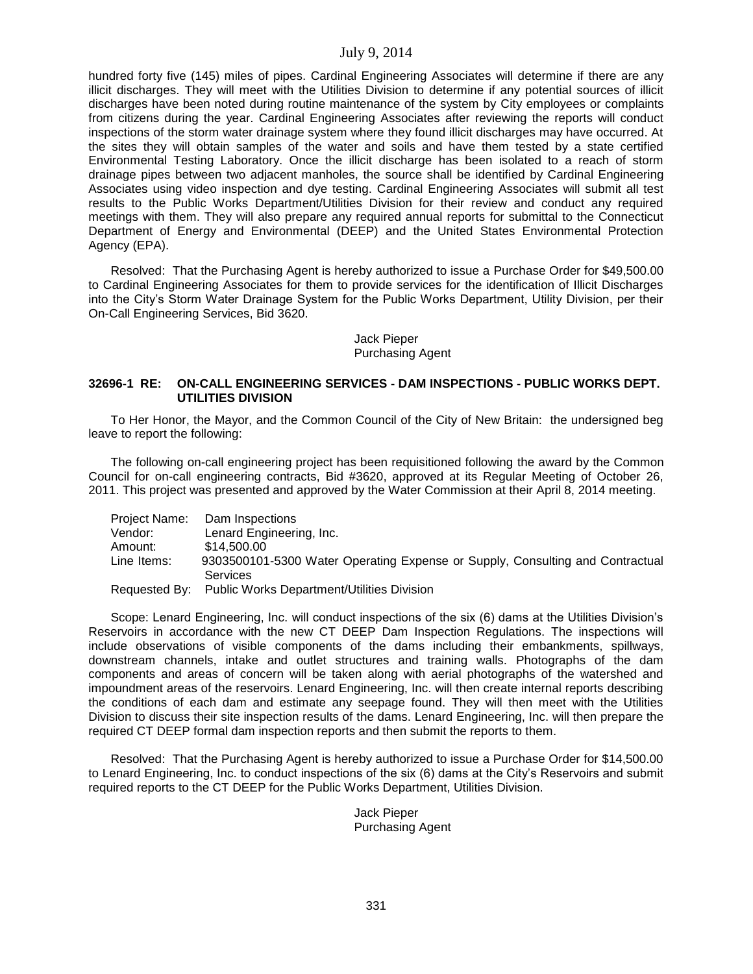hundred forty five (145) miles of pipes. Cardinal Engineering Associates will determine if there are any illicit discharges. They will meet with the Utilities Division to determine if any potential sources of illicit discharges have been noted during routine maintenance of the system by City employees or complaints from citizens during the year. Cardinal Engineering Associates after reviewing the reports will conduct inspections of the storm water drainage system where they found illicit discharges may have occurred. At the sites they will obtain samples of the water and soils and have them tested by a state certified Environmental Testing Laboratory. Once the illicit discharge has been isolated to a reach of storm drainage pipes between two adjacent manholes, the source shall be identified by Cardinal Engineering Associates using video inspection and dye testing. Cardinal Engineering Associates will submit all test results to the Public Works Department/Utilities Division for their review and conduct any required meetings with them. They will also prepare any required annual reports for submittal to the Connecticut Department of Energy and Environmental (DEEP) and the United States Environmental Protection Agency (EPA).

Resolved: That the Purchasing Agent is hereby authorized to issue a Purchase Order for \$49,500.00 to Cardinal Engineering Associates for them to provide services for the identification of Illicit Discharges into the City's Storm Water Drainage System for the Public Works Department, Utility Division, per their On-Call Engineering Services, Bid 3620.

#### Jack Pieper Purchasing Agent

#### **32696-1 RE: ON-CALL ENGINEERING SERVICES - DAM INSPECTIONS - PUBLIC WORKS DEPT. UTILITIES DIVISION**

To Her Honor, the Mayor, and the Common Council of the City of New Britain: the undersigned beg leave to report the following:

The following on-call engineering project has been requisitioned following the award by the Common Council for on-call engineering contracts, Bid #3620, approved at its Regular Meeting of October 26, 2011. This project was presented and approved by the Water Commission at their April 8, 2014 meeting.

|             | Project Name: Dam Inspections                                                 |
|-------------|-------------------------------------------------------------------------------|
| Vendor:     | Lenard Engineering, Inc.                                                      |
| Amount:     | \$14,500.00                                                                   |
| Line Items: | 9303500101-5300 Water Operating Expense or Supply, Consulting and Contractual |
|             | Services                                                                      |
|             | Requested By: Public Works Department/Utilities Division                      |

Scope: Lenard Engineering, Inc. will conduct inspections of the six (6) dams at the Utilities Division's Reservoirs in accordance with the new CT DEEP Dam Inspection Regulations. The inspections will include observations of visible components of the dams including their embankments, spillways, downstream channels, intake and outlet structures and training walls. Photographs of the dam components and areas of concern will be taken along with aerial photographs of the watershed and impoundment areas of the reservoirs. Lenard Engineering, Inc. will then create internal reports describing the conditions of each dam and estimate any seepage found. They will then meet with the Utilities Division to discuss their site inspection results of the dams. Lenard Engineering, Inc. will then prepare the required CT DEEP formal dam inspection reports and then submit the reports to them.

Resolved: That the Purchasing Agent is hereby authorized to issue a Purchase Order for \$14,500.00 to Lenard Engineering, Inc. to conduct inspections of the six (6) dams at the City's Reservoirs and submit required reports to the CT DEEP for the Public Works Department, Utilities Division.

> Jack Pieper Purchasing Agent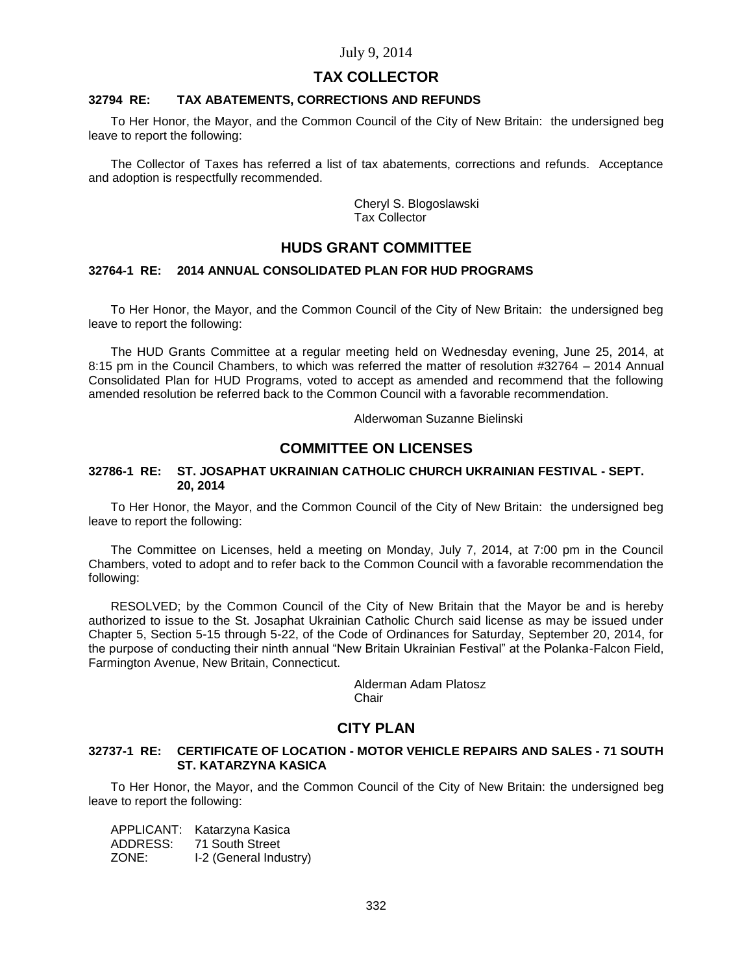# **TAX COLLECTOR**

#### **32794 RE: TAX ABATEMENTS, CORRECTIONS AND REFUNDS**

To Her Honor, the Mayor, and the Common Council of the City of New Britain: the undersigned beg leave to report the following:

The Collector of Taxes has referred a list of tax abatements, corrections and refunds. Acceptance and adoption is respectfully recommended.

> Cheryl S. Blogoslawski Tax Collector

# **HUDS GRANT COMMITTEE**

## **32764-1 RE: 2014 ANNUAL CONSOLIDATED PLAN FOR HUD PROGRAMS**

To Her Honor, the Mayor, and the Common Council of the City of New Britain: the undersigned beg leave to report the following:

The HUD Grants Committee at a regular meeting held on Wednesday evening, June 25, 2014, at 8:15 pm in the Council Chambers, to which was referred the matter of resolution #32764 – 2014 Annual Consolidated Plan for HUD Programs, voted to accept as amended and recommend that the following amended resolution be referred back to the Common Council with a favorable recommendation.

Alderwoman Suzanne Bielinski

# **COMMITTEE ON LICENSES**

#### **32786-1 RE: ST. JOSAPHAT UKRAINIAN CATHOLIC CHURCH UKRAINIAN FESTIVAL - SEPT. 20, 2014**

To Her Honor, the Mayor, and the Common Council of the City of New Britain: the undersigned beg leave to report the following:

The Committee on Licenses, held a meeting on Monday, July 7, 2014, at 7:00 pm in the Council Chambers, voted to adopt and to refer back to the Common Council with a favorable recommendation the following:

RESOLVED; by the Common Council of the City of New Britain that the Mayor be and is hereby authorized to issue to the St. Josaphat Ukrainian Catholic Church said license as may be issued under Chapter 5, Section 5-15 through 5-22, of the Code of Ordinances for Saturday, September 20, 2014, for the purpose of conducting their ninth annual "New Britain Ukrainian Festival" at the Polanka-Falcon Field, Farmington Avenue, New Britain, Connecticut.

Alderman Adam Platosz **Chair** 

### **CITY PLAN**

### **32737-1 RE: CERTIFICATE OF LOCATION - MOTOR VEHICLE REPAIRS AND SALES - 71 SOUTH ST. KATARZYNA KASICA**

To Her Honor, the Mayor, and the Common Council of the City of New Britain: the undersigned beg leave to report the following:

APPLICANT: Katarzyna Kasica ADDRESS: 71 South Street ZONE: I-2 (General Industry)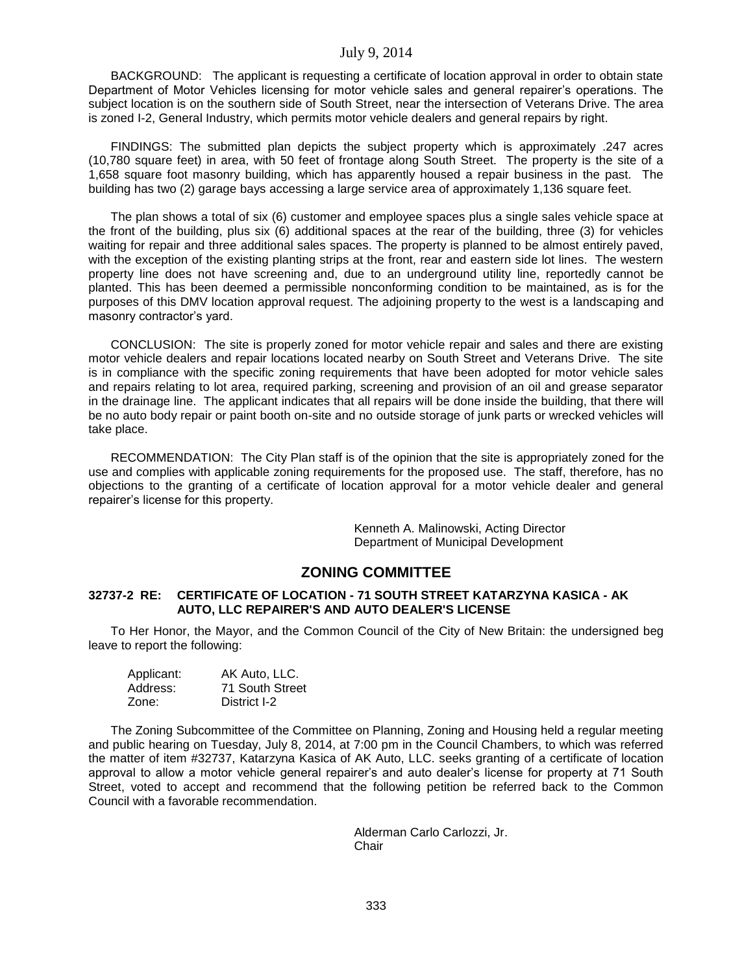BACKGROUND: The applicant is requesting a certificate of location approval in order to obtain state Department of Motor Vehicles licensing for motor vehicle sales and general repairer's operations. The subject location is on the southern side of South Street, near the intersection of Veterans Drive. The area is zoned I-2, General Industry, which permits motor vehicle dealers and general repairs by right.

FINDINGS: The submitted plan depicts the subject property which is approximately .247 acres (10,780 square feet) in area, with 50 feet of frontage along South Street. The property is the site of a 1,658 square foot masonry building, which has apparently housed a repair business in the past. The building has two (2) garage bays accessing a large service area of approximately 1,136 square feet.

The plan shows a total of six (6) customer and employee spaces plus a single sales vehicle space at the front of the building, plus six (6) additional spaces at the rear of the building, three (3) for vehicles waiting for repair and three additional sales spaces. The property is planned to be almost entirely paved, with the exception of the existing planting strips at the front, rear and eastern side lot lines. The western property line does not have screening and, due to an underground utility line, reportedly cannot be planted. This has been deemed a permissible nonconforming condition to be maintained, as is for the purposes of this DMV location approval request. The adjoining property to the west is a landscaping and masonry contractor's yard.

CONCLUSION: The site is properly zoned for motor vehicle repair and sales and there are existing motor vehicle dealers and repair locations located nearby on South Street and Veterans Drive. The site is in compliance with the specific zoning requirements that have been adopted for motor vehicle sales and repairs relating to lot area, required parking, screening and provision of an oil and grease separator in the drainage line. The applicant indicates that all repairs will be done inside the building, that there will be no auto body repair or paint booth on-site and no outside storage of junk parts or wrecked vehicles will take place.

RECOMMENDATION: The City Plan staff is of the opinion that the site is appropriately zoned for the use and complies with applicable zoning requirements for the proposed use. The staff, therefore, has no objections to the granting of a certificate of location approval for a motor vehicle dealer and general repairer's license for this property.

> Kenneth A. Malinowski, Acting Director Department of Municipal Development

# **ZONING COMMITTEE**

### **32737-2 RE: CERTIFICATE OF LOCATION - 71 SOUTH STREET KATARZYNA KASICA - AK AUTO, LLC REPAIRER'S AND AUTO DEALER'S LICENSE**

To Her Honor, the Mayor, and the Common Council of the City of New Britain: the undersigned beg leave to report the following:

| Applicant: | AK Auto, LLC.   |
|------------|-----------------|
| Address:   | 71 South Street |
| Zone:      | District I-2    |

The Zoning Subcommittee of the Committee on Planning, Zoning and Housing held a regular meeting and public hearing on Tuesday, July 8, 2014, at 7:00 pm in the Council Chambers, to which was referred the matter of item #32737, Katarzyna Kasica of AK Auto, LLC. seeks granting of a certificate of location approval to allow a motor vehicle general repairer's and auto dealer's license for property at 71 South Street, voted to accept and recommend that the following petition be referred back to the Common Council with a favorable recommendation.

> Alderman Carlo Carlozzi, Jr. Chair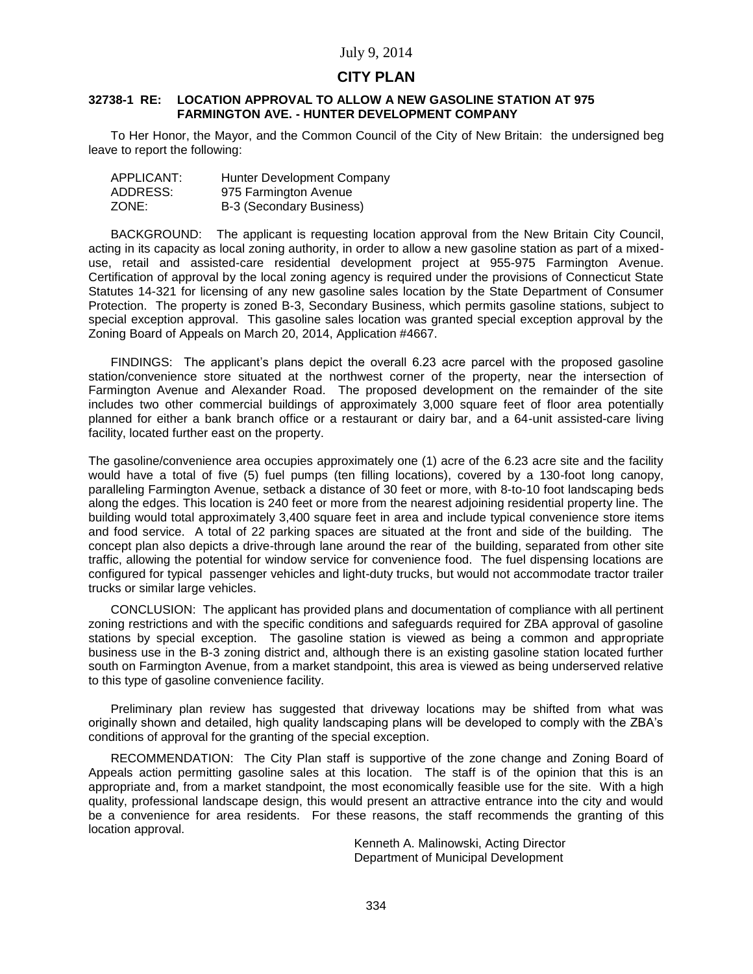# **CITY PLAN**

#### **32738-1 RE: LOCATION APPROVAL TO ALLOW A NEW GASOLINE STATION AT 975 FARMINGTON AVE. - HUNTER DEVELOPMENT COMPANY**

To Her Honor, the Mayor, and the Common Council of the City of New Britain: the undersigned beg leave to report the following:

| APPLICANT: | Hunter Development Company |
|------------|----------------------------|
| ADDRESS:   | 975 Farmington Avenue      |
| ZONE:      | B-3 (Secondary Business)   |

BACKGROUND: The applicant is requesting location approval from the New Britain City Council, acting in its capacity as local zoning authority, in order to allow a new gasoline station as part of a mixeduse, retail and assisted-care residential development project at 955-975 Farmington Avenue. Certification of approval by the local zoning agency is required under the provisions of Connecticut State Statutes 14-321 for licensing of any new gasoline sales location by the State Department of Consumer Protection. The property is zoned B-3, Secondary Business, which permits gasoline stations, subject to special exception approval. This gasoline sales location was granted special exception approval by the Zoning Board of Appeals on March 20, 2014, Application #4667.

FINDINGS: The applicant's plans depict the overall 6.23 acre parcel with the proposed gasoline station/convenience store situated at the northwest corner of the property, near the intersection of Farmington Avenue and Alexander Road. The proposed development on the remainder of the site includes two other commercial buildings of approximately 3,000 square feet of floor area potentially planned for either a bank branch office or a restaurant or dairy bar, and a 64-unit assisted-care living facility, located further east on the property.

The gasoline/convenience area occupies approximately one (1) acre of the 6.23 acre site and the facility would have a total of five (5) fuel pumps (ten filling locations), covered by a 130-foot long canopy, paralleling Farmington Avenue, setback a distance of 30 feet or more, with 8-to-10 foot landscaping beds along the edges. This location is 240 feet or more from the nearest adjoining residential property line. The building would total approximately 3,400 square feet in area and include typical convenience store items and food service. A total of 22 parking spaces are situated at the front and side of the building. The concept plan also depicts a drive-through lane around the rear of the building, separated from other site traffic, allowing the potential for window service for convenience food. The fuel dispensing locations are configured for typical passenger vehicles and light-duty trucks, but would not accommodate tractor trailer trucks or similar large vehicles.

CONCLUSION: The applicant has provided plans and documentation of compliance with all pertinent zoning restrictions and with the specific conditions and safeguards required for ZBA approval of gasoline stations by special exception. The gasoline station is viewed as being a common and appropriate business use in the B-3 zoning district and, although there is an existing gasoline station located further south on Farmington Avenue, from a market standpoint, this area is viewed as being underserved relative to this type of gasoline convenience facility.

Preliminary plan review has suggested that driveway locations may be shifted from what was originally shown and detailed, high quality landscaping plans will be developed to comply with the ZBA's conditions of approval for the granting of the special exception.

RECOMMENDATION: The City Plan staff is supportive of the zone change and Zoning Board of Appeals action permitting gasoline sales at this location. The staff is of the opinion that this is an appropriate and, from a market standpoint, the most economically feasible use for the site. With a high quality, professional landscape design, this would present an attractive entrance into the city and would be a convenience for area residents. For these reasons, the staff recommends the granting of this location approval.

Kenneth A. Malinowski, Acting Director Department of Municipal Development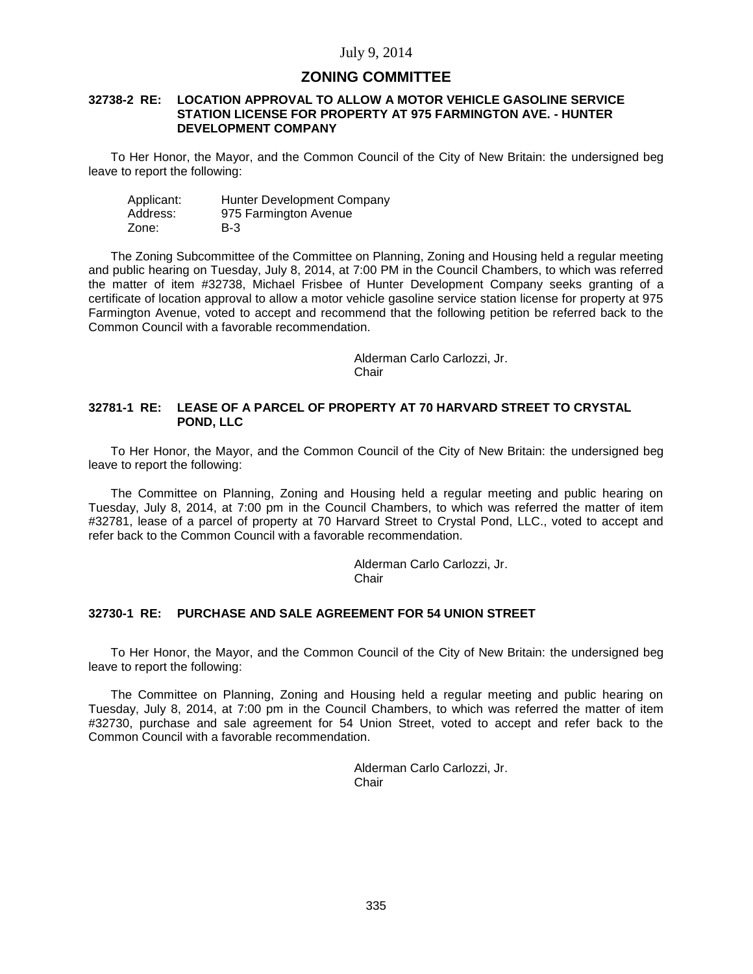# **ZONING COMMITTEE**

#### **32738-2 RE: LOCATION APPROVAL TO ALLOW A MOTOR VEHICLE GASOLINE SERVICE STATION LICENSE FOR PROPERTY AT 975 FARMINGTON AVE. - HUNTER DEVELOPMENT COMPANY**

To Her Honor, the Mayor, and the Common Council of the City of New Britain: the undersigned beg leave to report the following:

 Applicant: Hunter Development Company Address: 975 Farmington Avenue Zone: B-3

The Zoning Subcommittee of the Committee on Planning, Zoning and Housing held a regular meeting and public hearing on Tuesday, July 8, 2014, at 7:00 PM in the Council Chambers, to which was referred the matter of item #32738, Michael Frisbee of Hunter Development Company seeks granting of a certificate of location approval to allow a motor vehicle gasoline service station license for property at 975 Farmington Avenue, voted to accept and recommend that the following petition be referred back to the Common Council with a favorable recommendation.

> Alderman Carlo Carlozzi, Jr. Chair

### **32781-1 RE: LEASE OF A PARCEL OF PROPERTY AT 70 HARVARD STREET TO CRYSTAL POND, LLC**

To Her Honor, the Mayor, and the Common Council of the City of New Britain: the undersigned beg leave to report the following:

The Committee on Planning, Zoning and Housing held a regular meeting and public hearing on Tuesday, July 8, 2014, at 7:00 pm in the Council Chambers, to which was referred the matter of item #32781, lease of a parcel of property at 70 Harvard Street to Crystal Pond, LLC., voted to accept and refer back to the Common Council with a favorable recommendation.

Alderman Carlo Carlozzi, Jr.

**Chair** 

### **32730-1 RE: PURCHASE AND SALE AGREEMENT FOR 54 UNION STREET**

To Her Honor, the Mayor, and the Common Council of the City of New Britain: the undersigned beg leave to report the following:

The Committee on Planning, Zoning and Housing held a regular meeting and public hearing on Tuesday, July 8, 2014, at 7:00 pm in the Council Chambers, to which was referred the matter of item #32730, purchase and sale agreement for 54 Union Street, voted to accept and refer back to the Common Council with a favorable recommendation.

> Alderman Carlo Carlozzi, Jr. **Chair**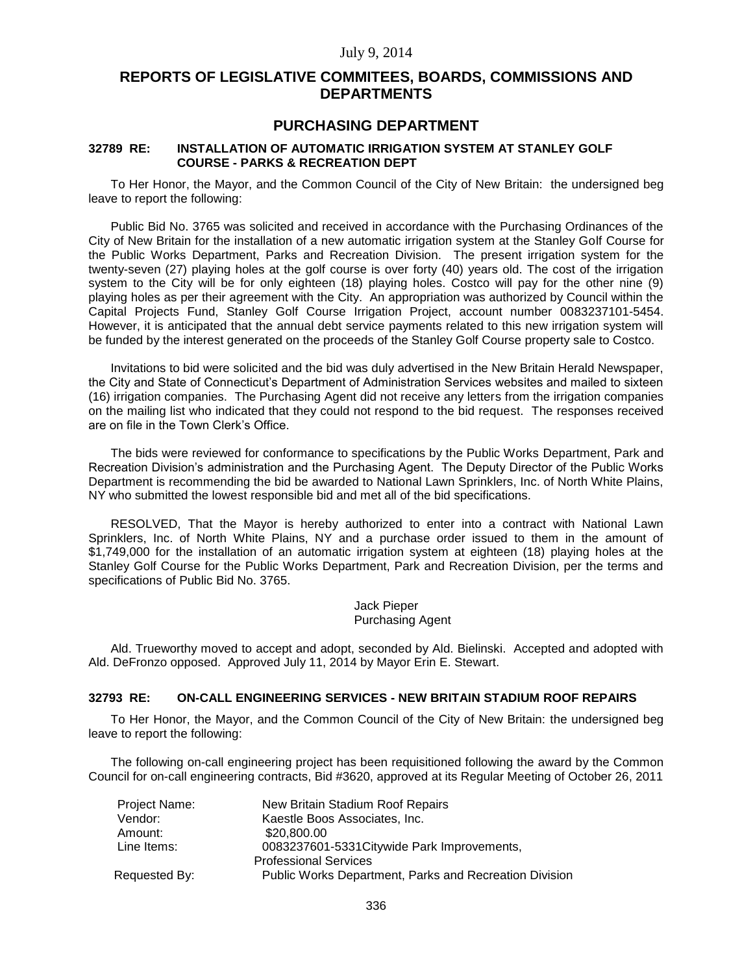# **REPORTS OF LEGISLATIVE COMMITEES, BOARDS, COMMISSIONS AND DEPARTMENTS**

# **PURCHASING DEPARTMENT**

### **32789 RE: INSTALLATION OF AUTOMATIC IRRIGATION SYSTEM AT STANLEY GOLF COURSE - PARKS & RECREATION DEPT**

To Her Honor, the Mayor, and the Common Council of the City of New Britain: the undersigned beg leave to report the following:

Public Bid No. 3765 was solicited and received in accordance with the Purchasing Ordinances of the City of New Britain for the installation of a new automatic irrigation system at the Stanley Golf Course for the Public Works Department, Parks and Recreation Division. The present irrigation system for the twenty-seven (27) playing holes at the golf course is over forty (40) years old. The cost of the irrigation system to the City will be for only eighteen (18) playing holes. Costco will pay for the other nine (9) playing holes as per their agreement with the City. An appropriation was authorized by Council within the Capital Projects Fund, Stanley Golf Course Irrigation Project, account number 0083237101-5454. However, it is anticipated that the annual debt service payments related to this new irrigation system will be funded by the interest generated on the proceeds of the Stanley Golf Course property sale to Costco.

Invitations to bid were solicited and the bid was duly advertised in the New Britain Herald Newspaper, the City and State of Connecticut's Department of Administration Services websites and mailed to sixteen (16) irrigation companies. The Purchasing Agent did not receive any letters from the irrigation companies on the mailing list who indicated that they could not respond to the bid request. The responses received are on file in the Town Clerk's Office.

The bids were reviewed for conformance to specifications by the Public Works Department, Park and Recreation Division's administration and the Purchasing Agent. The Deputy Director of the Public Works Department is recommending the bid be awarded to National Lawn Sprinklers, Inc. of North White Plains, NY who submitted the lowest responsible bid and met all of the bid specifications.

RESOLVED, That the Mayor is hereby authorized to enter into a contract with National Lawn Sprinklers, Inc. of North White Plains, NY and a purchase order issued to them in the amount of \$1,749,000 for the installation of an automatic irrigation system at eighteen (18) playing holes at the Stanley Golf Course for the Public Works Department, Park and Recreation Division, per the terms and specifications of Public Bid No. 3765.

> Jack Pieper Purchasing Agent

Ald. Trueworthy moved to accept and adopt, seconded by Ald. Bielinski. Accepted and adopted with Ald. DeFronzo opposed. Approved July 11, 2014 by Mayor Erin E. Stewart.

### **32793 RE: ON-CALL ENGINEERING SERVICES - NEW BRITAIN STADIUM ROOF REPAIRS**

To Her Honor, the Mayor, and the Common Council of the City of New Britain: the undersigned beg leave to report the following:

The following on-call engineering project has been requisitioned following the award by the Common Council for on-call engineering contracts, Bid #3620, approved at its Regular Meeting of October 26, 2011

| Project Name: | New Britain Stadium Roof Repairs                       |
|---------------|--------------------------------------------------------|
| Vendor:       | Kaestle Boos Associates, Inc.                          |
| Amount:       | \$20,800,00                                            |
| Line Items:   | 0083237601-5331 Citywide Park Improvements,            |
|               | <b>Professional Services</b>                           |
| Requested By: | Public Works Department, Parks and Recreation Division |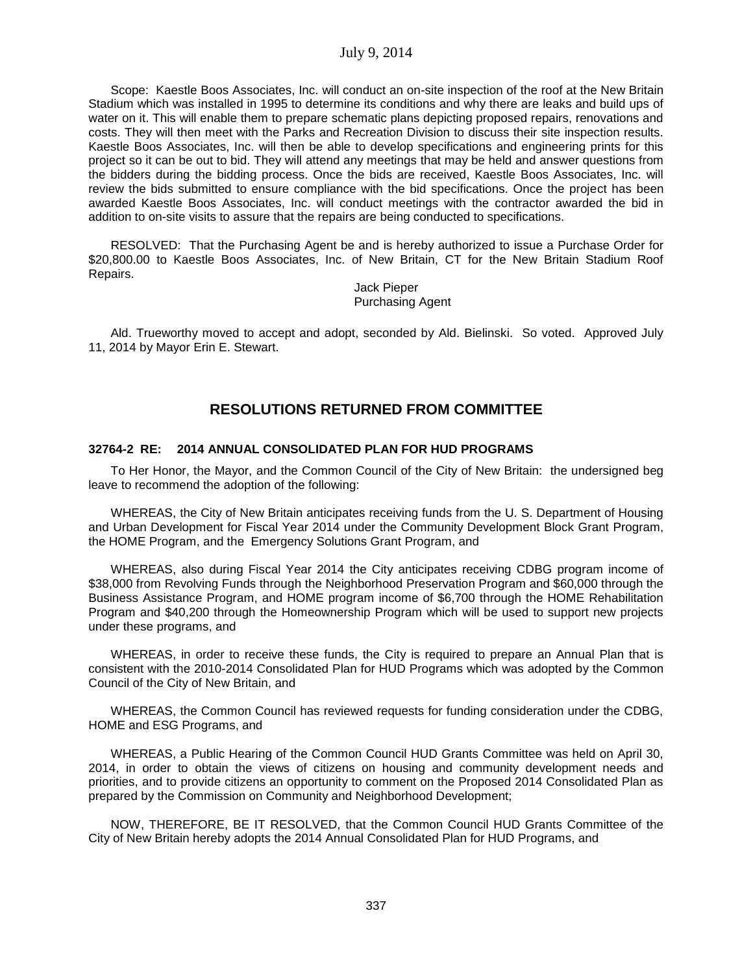Scope: Kaestle Boos Associates, Inc. will conduct an on-site inspection of the roof at the New Britain Stadium which was installed in 1995 to determine its conditions and why there are leaks and build ups of water on it. This will enable them to prepare schematic plans depicting proposed repairs, renovations and costs. They will then meet with the Parks and Recreation Division to discuss their site inspection results. Kaestle Boos Associates, Inc. will then be able to develop specifications and engineering prints for this project so it can be out to bid. They will attend any meetings that may be held and answer questions from the bidders during the bidding process. Once the bids are received, Kaestle Boos Associates, Inc. will review the bids submitted to ensure compliance with the bid specifications. Once the project has been awarded Kaestle Boos Associates, Inc. will conduct meetings with the contractor awarded the bid in addition to on-site visits to assure that the repairs are being conducted to specifications.

RESOLVED: That the Purchasing Agent be and is hereby authorized to issue a Purchase Order for \$20,800.00 to Kaestle Boos Associates, Inc. of New Britain, CT for the New Britain Stadium Roof Repairs.

> Jack Pieper Purchasing Agent

Ald. Trueworthy moved to accept and adopt, seconded by Ald. Bielinski. So voted. Approved July 11, 2014 by Mayor Erin E. Stewart.

# **RESOLUTIONS RETURNED FROM COMMITTEE**

## **32764-2 RE: 2014 ANNUAL CONSOLIDATED PLAN FOR HUD PROGRAMS**

To Her Honor, the Mayor, and the Common Council of the City of New Britain: the undersigned beg leave to recommend the adoption of the following:

WHEREAS, the City of New Britain anticipates receiving funds from the U. S. Department of Housing and Urban Development for Fiscal Year 2014 under the Community Development Block Grant Program, the HOME Program, and the Emergency Solutions Grant Program, and

WHEREAS, also during Fiscal Year 2014 the City anticipates receiving CDBG program income of \$38,000 from Revolving Funds through the Neighborhood Preservation Program and \$60,000 through the Business Assistance Program, and HOME program income of \$6,700 through the HOME Rehabilitation Program and \$40,200 through the Homeownership Program which will be used to support new projects under these programs, and

WHEREAS, in order to receive these funds, the City is required to prepare an Annual Plan that is consistent with the 2010-2014 Consolidated Plan for HUD Programs which was adopted by the Common Council of the City of New Britain, and

WHEREAS, the Common Council has reviewed requests for funding consideration under the CDBG, HOME and ESG Programs, and

WHEREAS, a Public Hearing of the Common Council HUD Grants Committee was held on April 30, 2014, in order to obtain the views of citizens on housing and community development needs and priorities, and to provide citizens an opportunity to comment on the Proposed 2014 Consolidated Plan as prepared by the Commission on Community and Neighborhood Development;

NOW, THEREFORE, BE IT RESOLVED, that the Common Council HUD Grants Committee of the City of New Britain hereby adopts the 2014 Annual Consolidated Plan for HUD Programs, and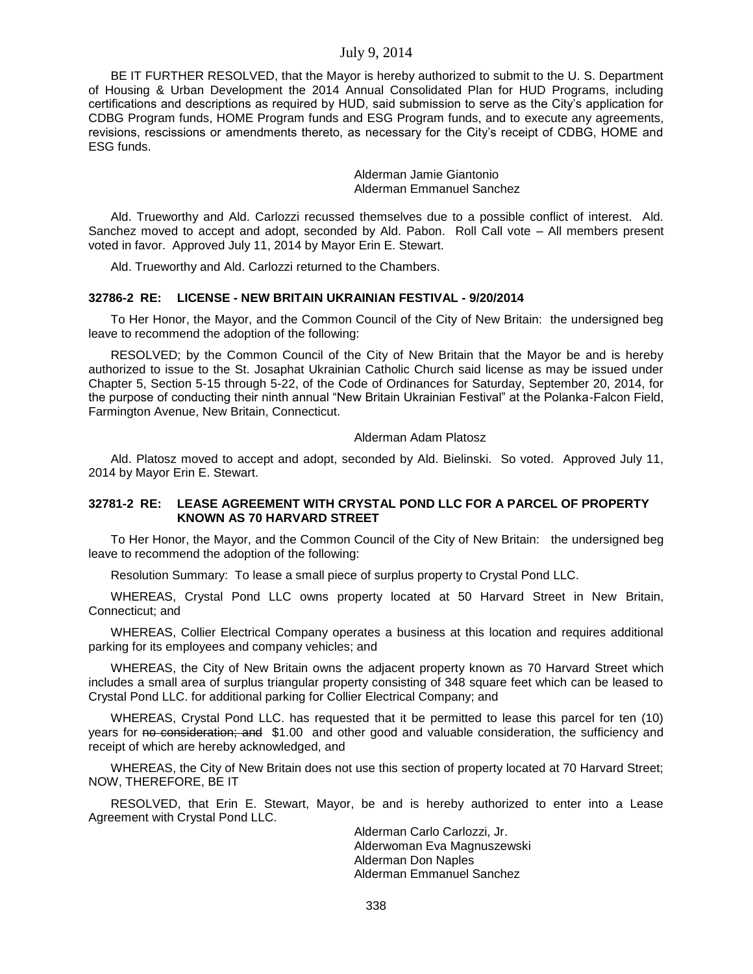BE IT FURTHER RESOLVED, that the Mayor is hereby authorized to submit to the U. S. Department of Housing & Urban Development the 2014 Annual Consolidated Plan for HUD Programs, including certifications and descriptions as required by HUD, said submission to serve as the City's application for CDBG Program funds, HOME Program funds and ESG Program funds, and to execute any agreements, revisions, rescissions or amendments thereto, as necessary for the City's receipt of CDBG, HOME and ESG funds.

> Alderman Jamie Giantonio Alderman Emmanuel Sanchez

Ald. Trueworthy and Ald. Carlozzi recussed themselves due to a possible conflict of interest. Ald. Sanchez moved to accept and adopt, seconded by Ald. Pabon. Roll Call vote – All members present voted in favor. Approved July 11, 2014 by Mayor Erin E. Stewart.

Ald. Trueworthy and Ald. Carlozzi returned to the Chambers.

### **32786-2 RE: LICENSE - NEW BRITAIN UKRAINIAN FESTIVAL - 9/20/2014**

To Her Honor, the Mayor, and the Common Council of the City of New Britain: the undersigned beg leave to recommend the adoption of the following:

RESOLVED; by the Common Council of the City of New Britain that the Mayor be and is hereby authorized to issue to the St. Josaphat Ukrainian Catholic Church said license as may be issued under Chapter 5, Section 5-15 through 5-22, of the Code of Ordinances for Saturday, September 20, 2014, for the purpose of conducting their ninth annual "New Britain Ukrainian Festival" at the Polanka-Falcon Field, Farmington Avenue, New Britain, Connecticut.

#### Alderman Adam Platosz

Ald. Platosz moved to accept and adopt, seconded by Ald. Bielinski. So voted. Approved July 11, 2014 by Mayor Erin E. Stewart.

#### **32781-2 RE: LEASE AGREEMENT WITH CRYSTAL POND LLC FOR A PARCEL OF PROPERTY KNOWN AS 70 HARVARD STREET**

To Her Honor, the Mayor, and the Common Council of the City of New Britain: the undersigned beg leave to recommend the adoption of the following:

Resolution Summary: To lease a small piece of surplus property to Crystal Pond LLC.

WHEREAS, Crystal Pond LLC owns property located at 50 Harvard Street in New Britain, Connecticut; and

WHEREAS, Collier Electrical Company operates a business at this location and requires additional parking for its employees and company vehicles; and

WHEREAS, the City of New Britain owns the adjacent property known as 70 Harvard Street which includes a small area of surplus triangular property consisting of 348 square feet which can be leased to Crystal Pond LLC. for additional parking for Collier Electrical Company; and

WHEREAS, Crystal Pond LLC. has requested that it be permitted to lease this parcel for ten (10) years for no consideration; and \$1.00 and other good and valuable consideration, the sufficiency and receipt of which are hereby acknowledged, and

WHEREAS, the City of New Britain does not use this section of property located at 70 Harvard Street; NOW, THEREFORE, BE IT

RESOLVED, that Erin E. Stewart, Mayor, be and is hereby authorized to enter into a Lease Agreement with Crystal Pond LLC.

> Alderman Carlo Carlozzi, Jr. Alderwoman Eva Magnuszewski Alderman Don Naples Alderman Emmanuel Sanchez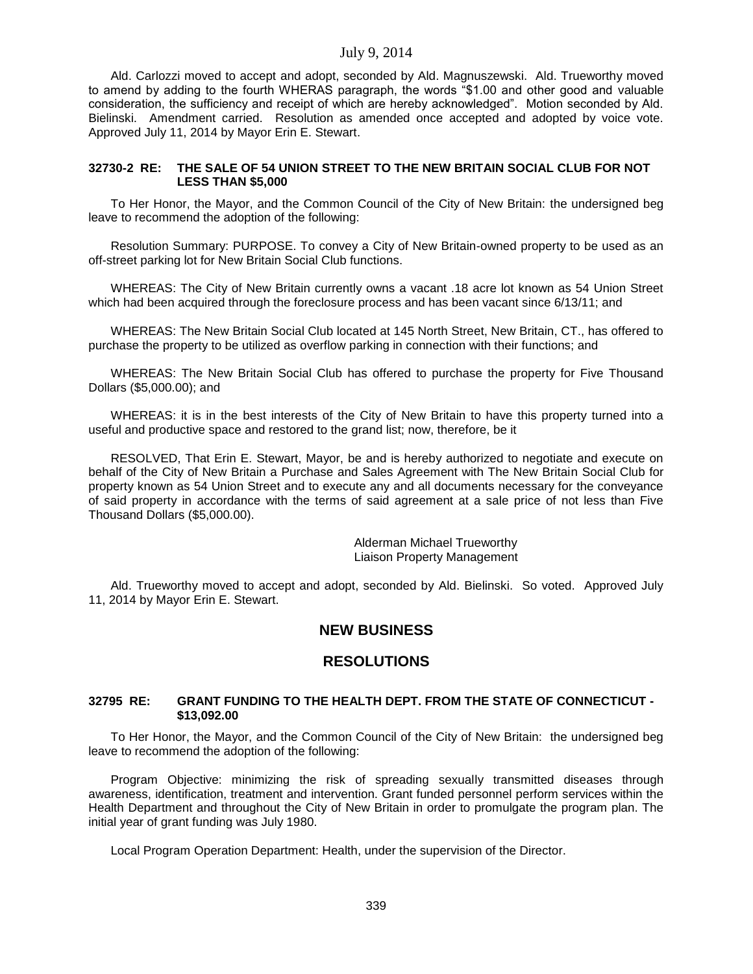Ald. Carlozzi moved to accept and adopt, seconded by Ald. Magnuszewski. Ald. Trueworthy moved to amend by adding to the fourth WHERAS paragraph, the words "\$1.00 and other good and valuable consideration, the sufficiency and receipt of which are hereby acknowledged". Motion seconded by Ald. Bielinski. Amendment carried. Resolution as amended once accepted and adopted by voice vote. Approved July 11, 2014 by Mayor Erin E. Stewart.

### **32730-2 RE: THE SALE OF 54 UNION STREET TO THE NEW BRITAIN SOCIAL CLUB FOR NOT LESS THAN \$5,000**

To Her Honor, the Mayor, and the Common Council of the City of New Britain: the undersigned beg leave to recommend the adoption of the following:

Resolution Summary: PURPOSE. To convey a City of New Britain-owned property to be used as an off-street parking lot for New Britain Social Club functions.

WHEREAS: The City of New Britain currently owns a vacant .18 acre lot known as 54 Union Street which had been acquired through the foreclosure process and has been vacant since 6/13/11; and

WHEREAS: The New Britain Social Club located at 145 North Street, New Britain, CT., has offered to purchase the property to be utilized as overflow parking in connection with their functions; and

WHEREAS: The New Britain Social Club has offered to purchase the property for Five Thousand Dollars (\$5,000.00); and

WHEREAS: it is in the best interests of the City of New Britain to have this property turned into a useful and productive space and restored to the grand list; now, therefore, be it

RESOLVED, That Erin E. Stewart, Mayor, be and is hereby authorized to negotiate and execute on behalf of the City of New Britain a Purchase and Sales Agreement with The New Britain Social Club for property known as 54 Union Street and to execute any and all documents necessary for the conveyance of said property in accordance with the terms of said agreement at a sale price of not less than Five Thousand Dollars (\$5,000.00).

> Alderman Michael Trueworthy Liaison Property Management

Ald. Trueworthy moved to accept and adopt, seconded by Ald. Bielinski. So voted. Approved July 11, 2014 by Mayor Erin E. Stewart.

# **NEW BUSINESS**

# **RESOLUTIONS**

#### **32795 RE: GRANT FUNDING TO THE HEALTH DEPT. FROM THE STATE OF CONNECTICUT - \$13,092.00**

To Her Honor, the Mayor, and the Common Council of the City of New Britain: the undersigned beg leave to recommend the adoption of the following:

Program Objective: minimizing the risk of spreading sexually transmitted diseases through awareness, identification, treatment and intervention. Grant funded personnel perform services within the Health Department and throughout the City of New Britain in order to promulgate the program plan. The initial year of grant funding was July 1980.

Local Program Operation Department: Health, under the supervision of the Director.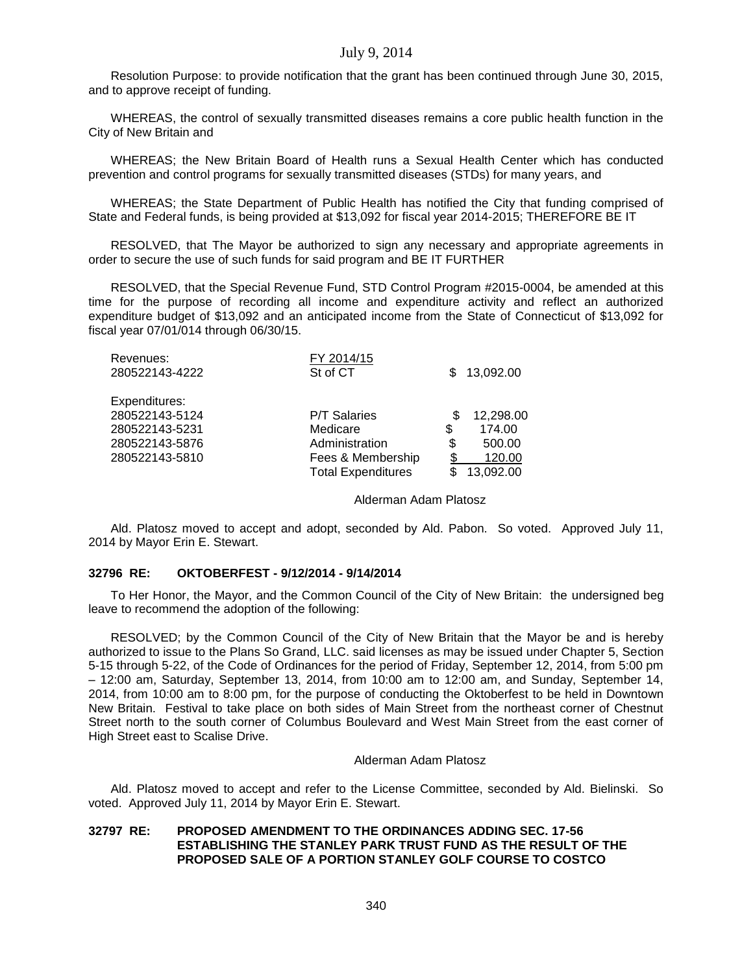Resolution Purpose: to provide notification that the grant has been continued through June 30, 2015, and to approve receipt of funding.

WHEREAS, the control of sexually transmitted diseases remains a core public health function in the City of New Britain and

WHEREAS; the New Britain Board of Health runs a Sexual Health Center which has conducted prevention and control programs for sexually transmitted diseases (STDs) for many years, and

WHEREAS; the State Department of Public Health has notified the City that funding comprised of State and Federal funds, is being provided at \$13,092 for fiscal year 2014-2015; THEREFORE BE IT

RESOLVED, that The Mayor be authorized to sign any necessary and appropriate agreements in order to secure the use of such funds for said program and BE IT FURTHER

RESOLVED, that the Special Revenue Fund, STD Control Program #2015-0004, be amended at this time for the purpose of recording all income and expenditure activity and reflect an authorized expenditure budget of \$13,092 and an anticipated income from the State of Connecticut of \$13,092 for fiscal year 07/01/014 through 06/30/15.

| Revenues:<br>280522143-4222 | FY 2014/15<br>St of CT    |    | 13,092.00 |
|-----------------------------|---------------------------|----|-----------|
| Expenditures:               |                           |    |           |
| 280522143-5124              | <b>P/T Salaries</b>       | S  | 12,298.00 |
| 280522143-5231              | Medicare                  | \$ | 174.00    |
| 280522143-5876              | Administration            | \$ | 500.00    |
| 280522143-5810              | Fees & Membership         |    | 120.00    |
|                             | <b>Total Expenditures</b> |    | 13,092.00 |

#### Alderman Adam Platosz

Ald. Platosz moved to accept and adopt, seconded by Ald. Pabon. So voted. Approved July 11, 2014 by Mayor Erin E. Stewart.

#### **32796 RE: OKTOBERFEST - 9/12/2014 - 9/14/2014**

To Her Honor, the Mayor, and the Common Council of the City of New Britain: the undersigned beg leave to recommend the adoption of the following:

RESOLVED; by the Common Council of the City of New Britain that the Mayor be and is hereby authorized to issue to the Plans So Grand, LLC. said licenses as may be issued under Chapter 5, Section 5-15 through 5-22, of the Code of Ordinances for the period of Friday, September 12, 2014, from 5:00 pm – 12:00 am, Saturday, September 13, 2014, from 10:00 am to 12:00 am, and Sunday, September 14, 2014, from 10:00 am to 8:00 pm, for the purpose of conducting the Oktoberfest to be held in Downtown New Britain. Festival to take place on both sides of Main Street from the northeast corner of Chestnut Street north to the south corner of Columbus Boulevard and West Main Street from the east corner of High Street east to Scalise Drive.

#### Alderman Adam Platosz

Ald. Platosz moved to accept and refer to the License Committee, seconded by Ald. Bielinski. So voted. Approved July 11, 2014 by Mayor Erin E. Stewart.

### **32797 RE: PROPOSED AMENDMENT TO THE ORDINANCES ADDING SEC. 17-56 ESTABLISHING THE STANLEY PARK TRUST FUND AS THE RESULT OF THE PROPOSED SALE OF A PORTION STANLEY GOLF COURSE TO COSTCO**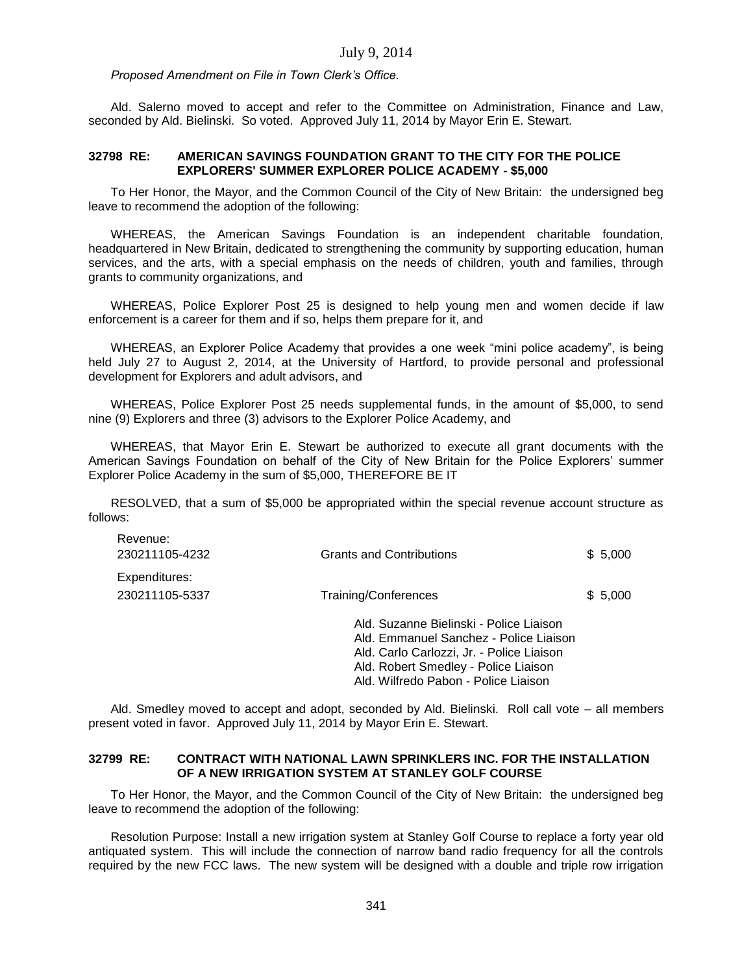*Proposed Amendment on File in Town Clerk's Office.*

Ald. Salerno moved to accept and refer to the Committee on Administration, Finance and Law, seconded by Ald. Bielinski. So voted. Approved July 11, 2014 by Mayor Erin E. Stewart.

#### **32798 RE: AMERICAN SAVINGS FOUNDATION GRANT TO THE CITY FOR THE POLICE EXPLORERS' SUMMER EXPLORER POLICE ACADEMY - \$5,000**

To Her Honor, the Mayor, and the Common Council of the City of New Britain: the undersigned beg leave to recommend the adoption of the following:

WHEREAS, the American Savings Foundation is an independent charitable foundation, headquartered in New Britain, dedicated to strengthening the community by supporting education, human services, and the arts, with a special emphasis on the needs of children, youth and families, through grants to community organizations, and

WHEREAS, Police Explorer Post 25 is designed to help young men and women decide if law enforcement is a career for them and if so, helps them prepare for it, and

WHEREAS, an Explorer Police Academy that provides a one week "mini police academy", is being held July 27 to August 2, 2014, at the University of Hartford, to provide personal and professional development for Explorers and adult advisors, and

WHEREAS, Police Explorer Post 25 needs supplemental funds, in the amount of \$5,000, to send nine (9) Explorers and three (3) advisors to the Explorer Police Academy, and

WHEREAS, that Mayor Erin E. Stewart be authorized to execute all grant documents with the American Savings Foundation on behalf of the City of New Britain for the Police Explorers' summer Explorer Police Academy in the sum of \$5,000, THEREFORE BE IT

RESOLVED, that a sum of \$5,000 be appropriated within the special revenue account structure as follows:

| Revenue:<br>230211105-4232      | <b>Grants and Contributions</b>                                                                                                                                        | \$5,000 |
|---------------------------------|------------------------------------------------------------------------------------------------------------------------------------------------------------------------|---------|
| Expenditures:<br>230211105-5337 | Training/Conferences                                                                                                                                                   | \$5,000 |
|                                 | Ald. Suzanne Bielinski - Police Liaison<br>Ald. Emmanuel Sanchez - Police Liaison<br>Ald. Carlo Carlozzi, Jr. - Police Liaison<br>Ald. Robert Smedley - Police Liaison |         |

Ald. Smedley moved to accept and adopt, seconded by Ald. Bielinski. Roll call vote – all members present voted in favor. Approved July 11, 2014 by Mayor Erin E. Stewart.

Ald. Wilfredo Pabon - Police Liaison

## **32799 RE: CONTRACT WITH NATIONAL LAWN SPRINKLERS INC. FOR THE INSTALLATION OF A NEW IRRIGATION SYSTEM AT STANLEY GOLF COURSE**

To Her Honor, the Mayor, and the Common Council of the City of New Britain: the undersigned beg leave to recommend the adoption of the following:

Resolution Purpose: Install a new irrigation system at Stanley Golf Course to replace a forty year old antiquated system. This will include the connection of narrow band radio frequency for all the controls required by the new FCC laws. The new system will be designed with a double and triple row irrigation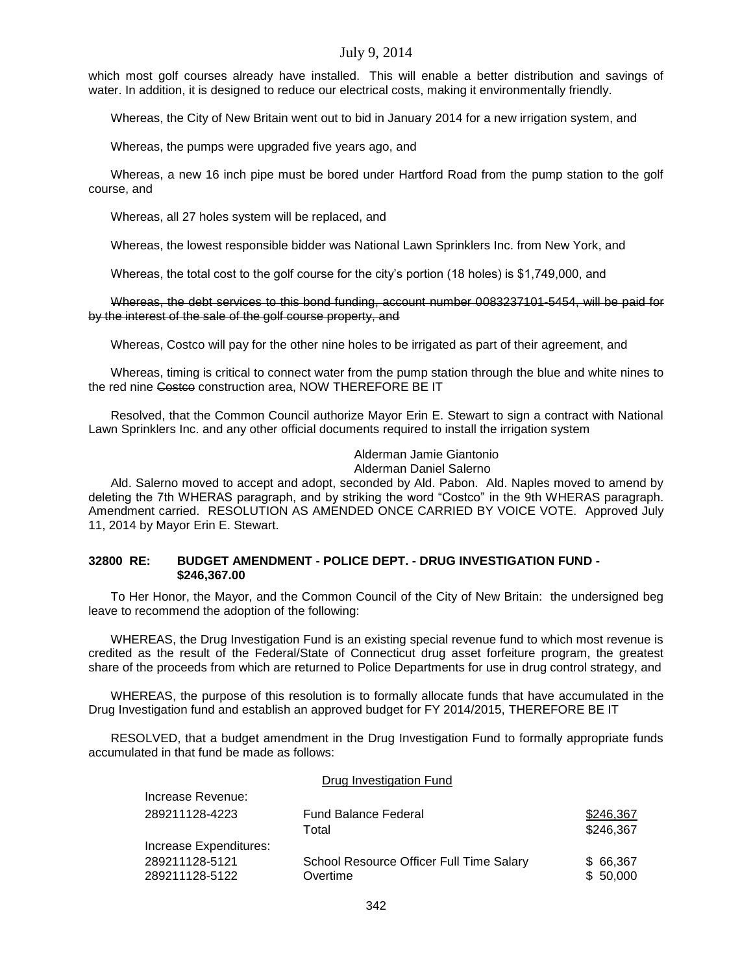which most golf courses already have installed. This will enable a better distribution and savings of water. In addition, it is designed to reduce our electrical costs, making it environmentally friendly.

Whereas, the City of New Britain went out to bid in January 2014 for a new irrigation system, and

Whereas, the pumps were upgraded five years ago, and

Whereas, a new 16 inch pipe must be bored under Hartford Road from the pump station to the golf course, and

Whereas, all 27 holes system will be replaced, and

Whereas, the lowest responsible bidder was National Lawn Sprinklers Inc. from New York, and

Whereas, the total cost to the golf course for the city's portion (18 holes) is \$1,749,000, and

Whereas, the debt services to this bond funding, account number 0083237101-5454, will be paid for by the interest of the sale of the golf course property, and

Whereas, Costco will pay for the other nine holes to be irrigated as part of their agreement, and

Whereas, timing is critical to connect water from the pump station through the blue and white nines to the red nine Costco construction area, NOW THEREFORE BE IT

Resolved, that the Common Council authorize Mayor Erin E. Stewart to sign a contract with National Lawn Sprinklers Inc. and any other official documents required to install the irrigation system

# Alderman Jamie Giantonio

#### Alderman Daniel Salerno

Ald. Salerno moved to accept and adopt, seconded by Ald. Pabon. Ald. Naples moved to amend by deleting the 7th WHERAS paragraph, and by striking the word "Costco" in the 9th WHERAS paragraph. Amendment carried. RESOLUTION AS AMENDED ONCE CARRIED BY VOICE VOTE. Approved July 11, 2014 by Mayor Erin E. Stewart.

### **32800 RE: BUDGET AMENDMENT - POLICE DEPT. - DRUG INVESTIGATION FUND - \$246,367.00**

To Her Honor, the Mayor, and the Common Council of the City of New Britain: the undersigned beg leave to recommend the adoption of the following:

WHEREAS, the Drug Investigation Fund is an existing special revenue fund to which most revenue is credited as the result of the Federal/State of Connecticut drug asset forfeiture program, the greatest share of the proceeds from which are returned to Police Departments for use in drug control strategy, and

WHEREAS, the purpose of this resolution is to formally allocate funds that have accumulated in the Drug Investigation fund and establish an approved budget for FY 2014/2015, THEREFORE BE IT

RESOLVED, that a budget amendment in the Drug Investigation Fund to formally appropriate funds accumulated in that fund be made as follows:

|                                  | Drug Investigation Fund                              |                        |
|----------------------------------|------------------------------------------------------|------------------------|
| Increase Revenue:                |                                                      |                        |
| 289211128-4223                   | <b>Fund Balance Federal</b><br>Total                 | \$246,367<br>\$246,367 |
| Increase Expenditures:           |                                                      |                        |
| 289211128-5121<br>289211128-5122 | School Resource Officer Full Time Salary<br>Overtime | \$66,367<br>\$50,000   |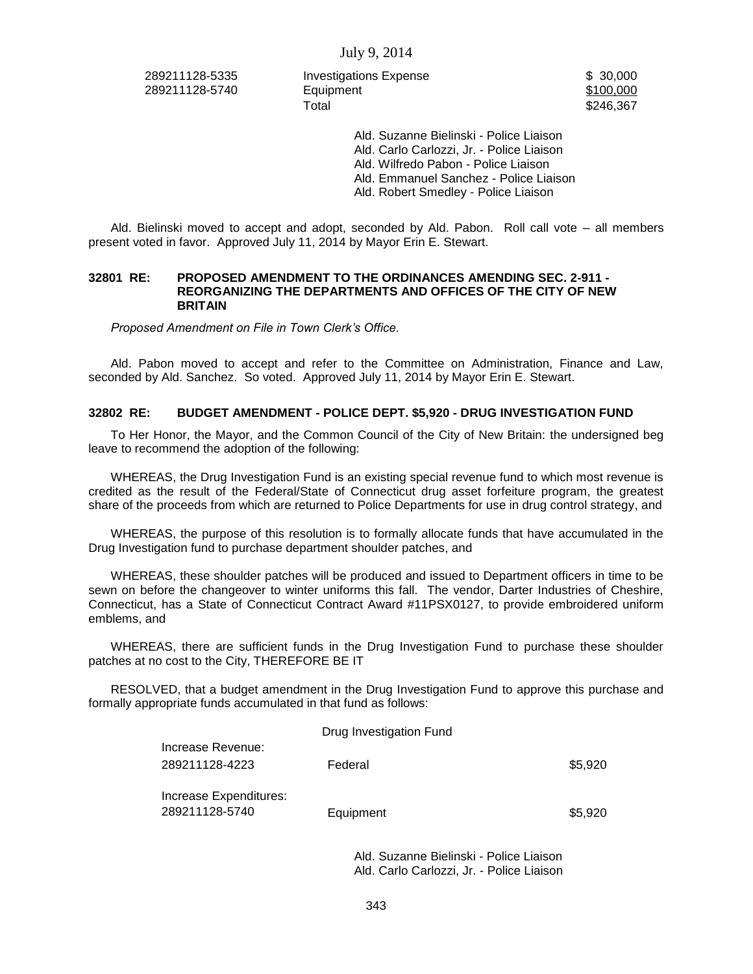289211128-5335 Investigations Expense \$ 30,000 289211128-5740 Equipment \$100,000 Equipment Total \$246,367

Ald. Suzanne Bielinski - Police Liaison Ald. Carlo Carlozzi, Jr. - Police Liaison Ald. Wilfredo Pabon - Police Liaison Ald. Emmanuel Sanchez - Police Liaison Ald. Robert Smedley - Police Liaison

Ald. Bielinski moved to accept and adopt, seconded by Ald. Pabon. Roll call vote – all members present voted in favor. Approved July 11, 2014 by Mayor Erin E. Stewart.

#### **32801 RE: PROPOSED AMENDMENT TO THE ORDINANCES AMENDING SEC. 2-911 - REORGANIZING THE DEPARTMENTS AND OFFICES OF THE CITY OF NEW BRITAIN**

*Proposed Amendment on File in Town Clerk's Office.*

Ald. Pabon moved to accept and refer to the Committee on Administration, Finance and Law, seconded by Ald. Sanchez. So voted. Approved July 11, 2014 by Mayor Erin E. Stewart.

### **32802 RE: BUDGET AMENDMENT - POLICE DEPT. \$5,920 - DRUG INVESTIGATION FUND**

To Her Honor, the Mayor, and the Common Council of the City of New Britain: the undersigned beg leave to recommend the adoption of the following:

WHEREAS, the Drug Investigation Fund is an existing special revenue fund to which most revenue is credited as the result of the Federal/State of Connecticut drug asset forfeiture program, the greatest share of the proceeds from which are returned to Police Departments for use in drug control strategy, and

WHEREAS, the purpose of this resolution is to formally allocate funds that have accumulated in the Drug Investigation fund to purchase department shoulder patches, and

WHEREAS, these shoulder patches will be produced and issued to Department officers in time to be sewn on before the changeover to winter uniforms this fall. The vendor, Darter Industries of Cheshire, Connecticut, has a State of Connecticut Contract Award #11PSX0127, to provide embroidered uniform emblems, and

WHEREAS, there are sufficient funds in the Drug Investigation Fund to purchase these shoulder patches at no cost to the City, THEREFORE BE IT

RESOLVED, that a budget amendment in the Drug Investigation Fund to approve this purchase and formally appropriate funds accumulated in that fund as follows:

|                        | Drug Investigation Fund |         |
|------------------------|-------------------------|---------|
| Increase Revenue:      |                         |         |
| 289211128-4223         | Federal                 | \$5,920 |
|                        |                         |         |
| Increase Expenditures: |                         |         |
| 289211128-5740         | Equipment               | \$5,920 |
|                        |                         |         |

Ald. Suzanne Bielinski - Police Liaison Ald. Carlo Carlozzi, Jr. - Police Liaison